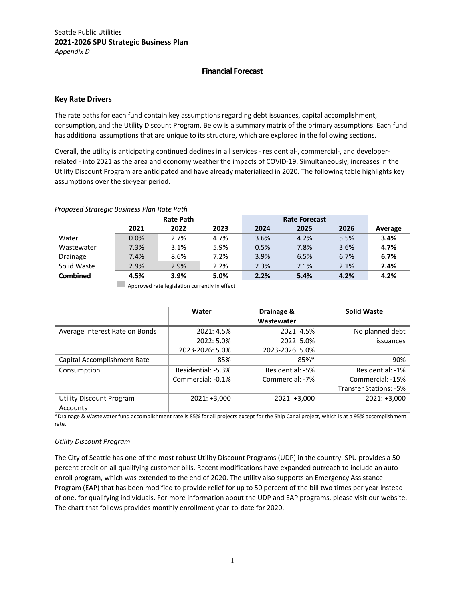## **Financial Forecast**

## **Key Rate Drivers**

The rate paths for each fund contain key assumptions regarding debt issuances, capital accomplishment, consumption, and the Utility Discount Program. Below is a summary matrix of the primary assumptions. Each fund has additional assumptions that are unique to its structure, which are explored in the following sections.

Overall, the utility is anticipating continued declines in all services - residential-, commercial-, and developerrelated - into 2021 as the area and economy weather the impacts of COVID-19. Simultaneously, increases in the Utility Discount Program are anticipated and have already materialized in 2020. The following table highlights key assumptions over the six-year period.

## *Proposed Strategic Business Plan Rate Path*

|                 | <b>Rate Path</b> |      | <b>Rate Forecast</b> |      |      |      |         |
|-----------------|------------------|------|----------------------|------|------|------|---------|
|                 | 2021             | 2022 | 2023                 | 2024 | 2025 | 2026 | Average |
| Water           | $0.0\%$          | 2.7% | 4.7%                 | 3.6% | 4.2% | 5.5% | 3.4%    |
| Wastewater      | 7.3%             | 3.1% | 5.9%                 | 0.5% | 7.8% | 3.6% | 4.7%    |
| Drainage        | 7.4%             | 8.6% | 7.2%                 | 3.9% | 6.5% | 6.7% | 6.7%    |
| Solid Waste     | 2.9%             | 2.9% | 2.2%                 | 2.3% | 2.1% | 2.1% | 2.4%    |
| <b>Combined</b> | 4.5%             | 3.9% | 5.0%                 | 2.2% | 5.4% | 4.2% | 4.2%    |

**Approved rate legislation currently in effect** 

|                                | Water              | Drainage &       | <b>Solid Waste</b>     |
|--------------------------------|--------------------|------------------|------------------------|
|                                |                    | Wastewater       |                        |
| Average Interest Rate on Bonds | 2021: 4.5%         | 2021: 4.5%       | No planned debt        |
|                                | 2022: 5.0%         | 2022: 5.0%       | issuances              |
|                                | 2023-2026: 5.0%    | 2023-2026: 5.0%  |                        |
| Capital Accomplishment Rate    | 85%                | 85%*             | 90%                    |
| Consumption                    | Residential: -5.3% | Residential: -5% | Residential: -1%       |
|                                | Commercial: -0.1%  | Commercial: -7%  | Commercial: -15%       |
|                                |                    |                  | Transfer Stations: -5% |
| Utility Discount Program       | $2021: +3,000$     | $2021: +3,000$   | $2021: +3,000$         |
| Accounts                       |                    |                  |                        |

\*Drainage & Wastewater fund accomplishment rate is 85% for all projects except for the Ship Canal project, which is at a 95% accomplishment rate.

#### *Utility Discount Program*

The City of Seattle has one of the most robust Utility Discount Programs (UDP) in the country. SPU provides a 50 percent credit on all qualifying customer bills. Recent modifications have expanded outreach to include an autoenroll program, which was extended to the end of 2020. The utility also supports an Emergency Assistance Program (EAP) that has been modified to provide relief for up to 50 percent of the bill two times per year instead of one, for qualifying individuals. For more information about the UDP and EAP programs, please visit our website. The chart that follows provides monthly enrollment year-to-date for 2020.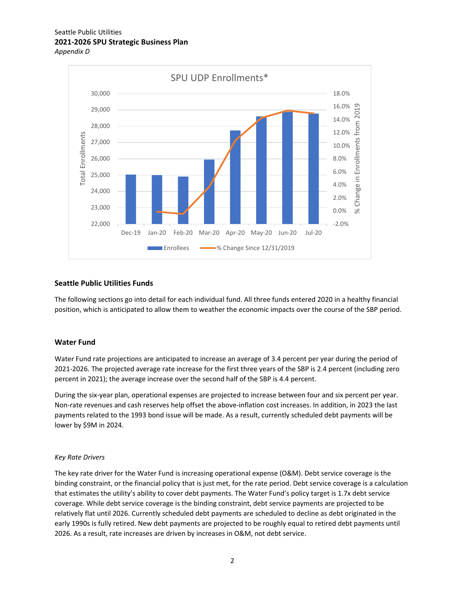



## **Seattle Public Utilities Funds**

The following sections go into detail for each individual fund. All three funds entered 2020 in a healthy financial position, which is anticipated to allow them to weather the economic impacts over the course of the SBP period.

#### **Water Fund**

Water Fund rate projections are anticipated to increase an average of 3.4 percent per year during the period of 2021-2026. The projected average rate increase for the first three years of the SBP is 2.4 percent (including zero percent in 2021); the average increase over the second half of the SBP is 4.4 percent.

During the six-year plan, operational expenses are projected to increase between four and six percent per year. Non-rate revenues and cash reserves help offset the above-inflation cost increases. In addition, in 2023 the last payments related to the 1993 bond issue will be made. As a result, currently scheduled debt payments will be lower by \$9M in 2024.

#### *Key Rate Drivers*

The key rate driver for the Water Fund is increasing operational expense (O&M). Debt service coverage is the binding constraint, or the financial policy that is just met, for the rate period. Debt service coverage is a calculation that estimates the utility's ability to cover debt payments. The Water Fund's policy target is 1.7x debt service coverage. While debt service coverage is the binding constraint, debt service payments are projected to be relatively flat until 2026. Currently scheduled debt payments are scheduled to decline as debt originated in the early 1990s is fully retired. New debt payments are projected to be roughly equal to retired debt payments until 2026. As a result, rate increases are driven by increases in O&M, not debt service.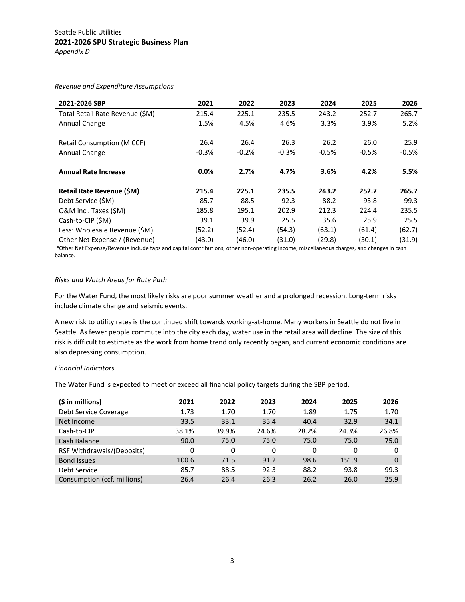*Revenue and Expenditure Assumptions* 

| 2021-2026 SBP                    | 2021    | 2022    | 2023    | 2024    | 2025    | 2026    |
|----------------------------------|---------|---------|---------|---------|---------|---------|
| Total Retail Rate Revenue (\$M)  | 215.4   | 225.1   | 235.5   | 243.2   | 252.7   | 265.7   |
| Annual Change                    | 1.5%    | 4.5%    | 4.6%    | 3.3%    | 3.9%    | 5.2%    |
|                                  |         |         |         |         |         |         |
| Retail Consumption (M CCF)       | 26.4    | 26.4    | 26.3    | 26.2    | 26.0    | 25.9    |
| Annual Change                    | $-0.3%$ | $-0.2%$ | $-0.3%$ | $-0.5%$ | $-0.5%$ | $-0.5%$ |
|                                  |         |         |         |         |         |         |
| <b>Annual Rate Increase</b>      | $0.0\%$ | 2.7%    | 4.7%    | 3.6%    | 4.2%    | 5.5%    |
| <b>Retail Rate Revenue (\$M)</b> | 215.4   | 225.1   | 235.5   | 243.2   | 252.7   | 265.7   |
| Debt Service (SM)                | 85.7    | 88.5    | 92.3    | 88.2    | 93.8    | 99.3    |
| O&M incl. Taxes (\$M)            | 185.8   | 195.1   | 202.9   | 212.3   | 224.4   | 235.5   |
| Cash-to-CIP (\$M)                | 39.1    | 39.9    | 25.5    | 35.6    | 25.9    | 25.5    |
| Less: Wholesale Revenue (\$M)    | (52.2)  | (52.4)  | (54.3)  | (63.1)  | (61.4)  | (62.7)  |
| Other Net Expense / (Revenue)    | (43.0)  | (46.0)  | (31.0)  | (29.8)  | (30.1)  | (31.9)  |

 \*Other Net Expense/Revenue include taps and capital contributions, other non-operating income, miscellaneous charges, and changes in cash balance.

## *Risks and Watch Areas for Rate Path*

For the Water Fund, the most likely risks are poor summer weather and a prolonged recession. Long-term risks include climate change and seismic events.

A new risk to utility rates is the continued shift towards working-at-home. Many workers in Seattle do not live in Seattle. As fewer people commute into the city each day, water use in the retail area will decline. The size of this risk is difficult to estimate as the work from home trend only recently began, and current economic conditions are also depressing consumption.

### *Financial Indicators*

The Water Fund is expected to meet or exceed all financial policy targets during the SBP period.

| $(\xi in millions)$         | 2021  | 2022  | 2023  | 2024  | 2025     | 2026  |
|-----------------------------|-------|-------|-------|-------|----------|-------|
| Debt Service Coverage       | 1.73  | 1.70  | 1.70  | 1.89  | 1.75     | 1.70  |
| Net Income                  | 33.5  | 33.1  | 35.4  | 40.4  | 32.9     | 34.1  |
| Cash-to-CIP                 | 38.1% | 39.9% | 24.6% | 28.2% | 24.3%    | 26.8% |
| Cash Balance                | 90.0  | 75.0  | 75.0  | 75.0  | 75.0     | 75.0  |
| RSF Withdrawals/(Deposits)  | 0     | 0     | 0     | 0     | $\Omega$ | 0     |
| <b>Bond Issues</b>          | 100.6 | 71.5  | 91.2  | 98.6  | 151.9    | 0     |
| Debt Service                | 85.7  | 88.5  | 92.3  | 88.2  | 93.8     | 99.3  |
| Consumption (ccf, millions) | 26.4  | 26.4  | 26.3  | 26.2  | 26.0     | 25.9  |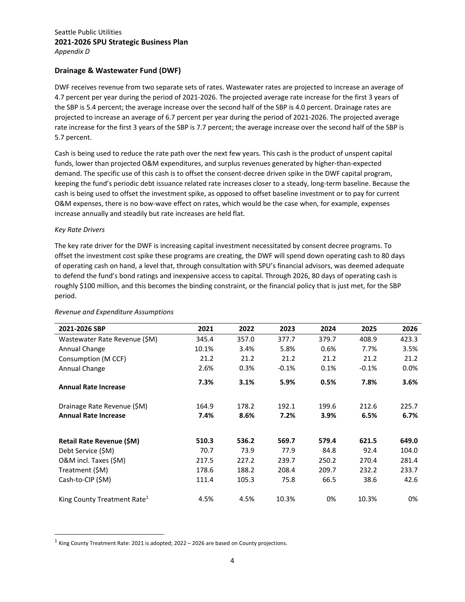*Appendix D* 

## **Drainage & Wastewater Fund (DWF)**

DWF receives revenue from two separate sets of rates. Wastewater rates are projected to increase an average of 4.7 percent per year during the period of 2021-2026. The projected average rate increase for the first 3 years of the SBP is 5.4 percent; the average increase over the second half of the SBP is 4.0 percent. Drainage rates are projected to increase an average of 6.7 percent per year during the period of 2021-2026. The projected average rate increase for the first 3 years of the SBP is 7.7 percent; the average increase over the second half of the SBP is 5.7 percent.

Cash is being used to reduce the rate path over the next few years. This cash is the product of unspent capital funds, lower than projected O&M expenditures, and surplus revenues generated by higher-than-expected demand. The specific use of this cash is to offset the consent-decree driven spike in the DWF capital program, keeping the fund's periodic debt issuance related rate increases closer to a steady, long-term baseline. Because the cash is being used to offset the investment spike, as opposed to offset baseline investment or to pay for current O&M expenses, there is no bow-wave effect on rates, which would be the case when, for example, expenses increase annually and steadily but rate increases are held flat.

## *Key Rate Drivers*

The key rate driver for the DWF is increasing capital investment necessitated by consent decree programs. To offset the investment cost spike these programs are creating, the DWF will spend down operating cash to 80 days of operating cash on hand, a level that, through consultation with SPU's financial advisors, was deemed adequate to defend the fund's bond ratings and inexpensive access to capital. Through 2026, 80 days of operating cash is roughly \$100 million, and this becomes the binding constraint, or the financial policy that is just met, for the SBP period.

| 2021-2026 SBP                           | 2021  | 2022  | 2023    | 2024  | 2025    | 2026    |
|-----------------------------------------|-------|-------|---------|-------|---------|---------|
| Wastewater Rate Revenue (\$M)           | 345.4 | 357.0 | 377.7   | 379.7 | 408.9   | 423.3   |
| Annual Change                           | 10.1% | 3.4%  | 5.8%    | 0.6%  | 7.7%    | 3.5%    |
| Consumption (M CCF)                     | 21.2  | 21.2  | 21.2    | 21.2  | 21.2    | 21.2    |
| Annual Change                           | 2.6%  | 0.3%  | $-0.1%$ | 0.1%  | $-0.1%$ | $0.0\%$ |
| <b>Annual Rate Increase</b>             | 7.3%  | 3.1%  | 5.9%    | 0.5%  | 7.8%    | 3.6%    |
| Drainage Rate Revenue (\$M)             | 164.9 | 178.2 | 192.1   | 199.6 | 212.6   | 225.7   |
| <b>Annual Rate Increase</b>             | 7.4%  | 8.6%  | 7.2%    | 3.9%  | 6.5%    | 6.7%    |
|                                         |       |       |         |       |         |         |
| Retail Rate Revenue (\$M)               | 510.3 | 536.2 | 569.7   | 579.4 | 621.5   | 649.0   |
| Debt Service (\$M)                      | 70.7  | 73.9  | 77.9    | 84.8  | 92.4    | 104.0   |
| O&M incl. Taxes (\$M)                   | 217.5 | 227.2 | 239.7   | 250.2 | 270.4   | 281.4   |
| Treatment (\$M)                         | 178.6 | 188.2 | 208.4   | 209.7 | 232.2   | 233.7   |
| Cash-to-CIP (\$M)                       | 111.4 | 105.3 | 75.8    | 66.5  | 38.6    | 42.6    |
| King County Treatment Rate <sup>1</sup> | 4.5%  | 4.5%  | 10.3%   | 0%    | 10.3%   | 0%      |

## *Revenue and Expenditure Assumptions*

 $1$  King County Treatment Rate: 2021 is adopted; 2022 – 2026 are based on County projections.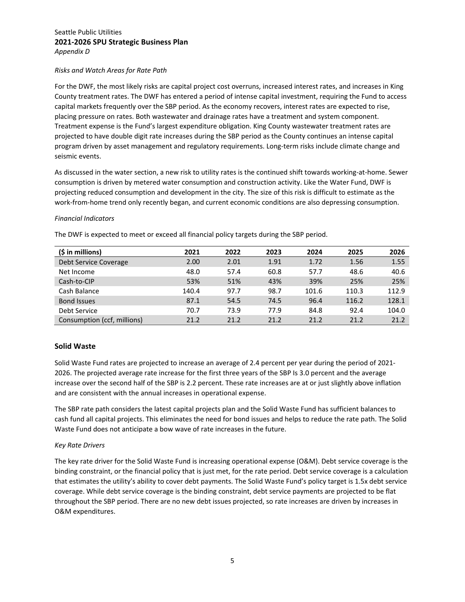#### *Risks and Watch Areas for Rate Path*

For the DWF, the most likely risks are capital project cost overruns, increased interest rates, and increases in King County treatment rates. The DWF has entered a period of intense capital investment, requiring the Fund to access capital markets frequently over the SBP period. As the economy recovers, interest rates are expected to rise, placing pressure on rates. Both wastewater and drainage rates have a treatment and system component. Treatment expense is the Fund's largest expenditure obligation. King County wastewater treatment rates are projected to have double digit rate increases during the SBP period as the County continues an intense capital program driven by asset management and regulatory requirements. Long-term risks include climate change and seismic events.

As discussed in the water section, a new risk to utility rates is the continued shift towards working-at-home. Sewer consumption is driven by metered water consumption and construction activity. Like the Water Fund, DWF is projecting reduced consumption and development in the city. The size of this risk is difficult to estimate as the work-from-home trend only recently began, and current economic conditions are also depressing consumption.

#### *Financial Indicators*

The DWF is expected to meet or exceed all financial policy targets during the SBP period.

| $(5$ in millions)           | 2021  | 2022 | 2023 | 2024  | 2025  | 2026  |
|-----------------------------|-------|------|------|-------|-------|-------|
| Debt Service Coverage       | 2.00  | 2.01 | 1.91 | 1.72  | 1.56  | 1.55  |
| Net Income                  | 48.0  | 57.4 | 60.8 | 57.7  | 48.6  | 40.6  |
| Cash-to-CIP                 | 53%   | 51%  | 43%  | 39%   | 25%   | 25%   |
| Cash Balance                | 140.4 | 97.7 | 98.7 | 101.6 | 110.3 | 112.9 |
| <b>Bond Issues</b>          | 87.1  | 54.5 | 74.5 | 96.4  | 116.2 | 128.1 |
| Debt Service                | 70.7  | 73.9 | 77.9 | 84.8  | 92.4  | 104.0 |
| Consumption (ccf, millions) | 21.2  | 21.2 | 21.2 | 21.2  | 21.2  | 21.2  |

## **Solid Waste**

Solid Waste Fund rates are projected to increase an average of 2.4 percent per year during the period of 2021- 2026. The projected average rate increase for the first three years of the SBP Is 3.0 percent and the average increase over the second half of the SBP is 2.2 percent. These rate increases are at or just slightly above inflation and are consistent with the annual increases in operational expense.

The SBP rate path considers the latest capital projects plan and the Solid Waste Fund has sufficient balances to cash fund all capital projects. This eliminates the need for bond issues and helps to reduce the rate path. The Solid Waste Fund does not anticipate a bow wave of rate increases in the future.

#### *Key Rate Drivers*

The key rate driver for the Solid Waste Fund is increasing operational expense (O&M). Debt service coverage is the binding constraint, or the financial policy that is just met, for the rate period. Debt service coverage is a calculation that estimates the utility's ability to cover debt payments. The Solid Waste Fund's policy target is 1.5x debt service coverage. While debt service coverage is the binding constraint, debt service payments are projected to be flat throughout the SBP period. There are no new debt issues projected, so rate increases are driven by increases in O&M expenditures.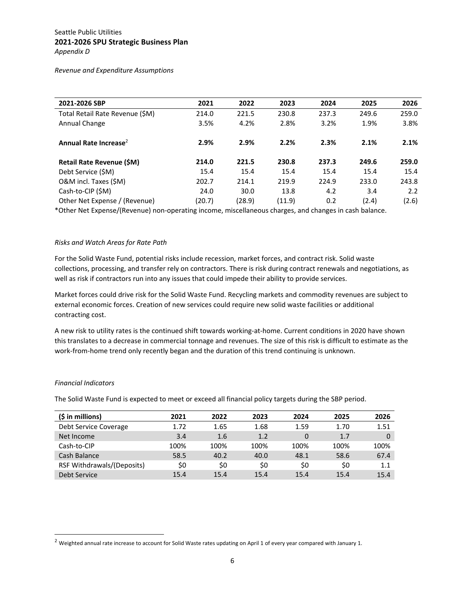*Revenue and Expenditure Assumptions* 

| 2021-2026 SBP                     | 2021   | 2022   | 2023   | 2024  | 2025  | 2026  |
|-----------------------------------|--------|--------|--------|-------|-------|-------|
| Total Retail Rate Revenue (\$M)   | 214.0  | 221.5  | 230.8  | 237.3 | 249.6 | 259.0 |
| Annual Change                     | 3.5%   | 4.2%   | 2.8%   | 3.2%  | 1.9%  | 3.8%  |
|                                   |        |        |        |       |       |       |
| Annual Rate Increase <sup>2</sup> | 2.9%   | 2.9%   | 2.2%   | 2.3%  | 2.1%  | 2.1%  |
| Retail Rate Revenue (\$M)         | 214.0  | 221.5  | 230.8  | 237.3 | 249.6 | 259.0 |
| Debt Service (\$M)                | 15.4   | 15.4   | 15.4   | 15.4  | 15.4  | 15.4  |
| O&M incl. Taxes (\$M)             | 202.7  | 214.1  | 219.9  | 224.9 | 233.0 | 243.8 |
| Cash-to-CIP (\$M)                 | 24.0   | 30.0   | 13.8   | 4.2   | 3.4   | 2.2   |
| Other Net Expense / (Revenue)     | (20.7) | (28.9) | (11.9) | 0.2   | (2.4) | (2.6) |
|                                   |        |        |        |       |       |       |

\*Other Net Expense/(Revenue) non-operating income, miscellaneous charges, and changes in cash balance.

## *Risks and Watch Areas for Rate Path*

For the Solid Waste Fund, potential risks include recession, market forces, and contract risk. Solid waste collections, processing, and transfer rely on contractors. There is risk during contract renewals and negotiations, as well as risk if contractors run into any issues that could impede their ability to provide services.

Market forces could drive risk for the Solid Waste Fund. Recycling markets and commodity revenues are subject to external economic forces. Creation of new services could require new solid waste facilities or additional contracting cost.

A new risk to utility rates is the continued shift towards working-at-home. Current conditions in 2020 have shown this translates to a decrease in commercial tonnage and revenues. The size of this risk is difficult to estimate as the work-from-home trend only recently began and the duration of this trend continuing is unknown.

#### *Financial Indicators*

The Solid Waste Fund is expected to meet or exceed all financial policy targets during the SBP period.

| $(\xi in millions)$        | 2021 | 2022 | 2023 | 2024 | 2025 | 2026 |
|----------------------------|------|------|------|------|------|------|
| Debt Service Coverage      | 1.72 | 1.65 | 1.68 | 1.59 | 1.70 | 1.51 |
| Net Income                 | 3.4  | 1.6  | 1.2  | 0    | 1.7  | 0    |
| Cash-to-CIP                | 100% | 100% | 100% | 100% | 100% | 100% |
| Cash Balance               | 58.5 | 40.2 | 40.0 | 48.1 | 58.6 | 67.4 |
| RSF Withdrawals/(Deposits) | \$0  | \$0  | \$0  | \$0  | \$0  | 1.1  |
| Debt Service               | 15.4 | 15.4 | 15.4 | 154  | 15.4 | 15.4 |

<sup>&</sup>lt;sup>2</sup> Weighted annual rate increase to account for Solid Waste rates updating on April 1 of every year compared with January 1.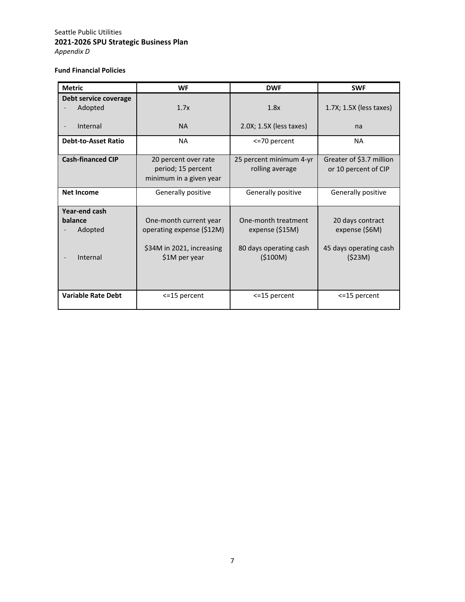*Appendix D* 

## **Fund Financial Policies**

| <b>Metric</b>                                   | <b>WF</b>                                                                                         | <b>DWF</b>                                                                   | <b>SWF</b>                                                             |
|-------------------------------------------------|---------------------------------------------------------------------------------------------------|------------------------------------------------------------------------------|------------------------------------------------------------------------|
| Debt service coverage<br>Adopted                | 1.7x                                                                                              | 1.8x                                                                         | 1.7X; 1.5X (less taxes)                                                |
| Internal                                        | <b>NA</b>                                                                                         | 2.0X; 1.5X (less taxes)                                                      | na                                                                     |
| <b>Debt-to-Asset Ratio</b>                      | <b>NA</b>                                                                                         | <= 70 percent                                                                | <b>NA</b>                                                              |
| <b>Cash-financed CIP</b>                        | 20 percent over rate<br>period; 15 percent<br>minimum in a given year                             | 25 percent minimum 4-yr<br>rolling average                                   | Greater of \$3.7 million<br>or 10 percent of CIP                       |
| <b>Net Income</b>                               | Generally positive                                                                                | Generally positive                                                           | Generally positive                                                     |
| Year-end cash<br>balance<br>Adopted<br>Internal | One-month current year<br>operating expense (\$12M)<br>\$34M in 2021, increasing<br>\$1M per year | One-month treatment<br>expense (\$15M)<br>80 days operating cash<br>(\$100M) | 20 days contract<br>expense (\$6M)<br>45 days operating cash<br>(523M) |
| <b>Variable Rate Debt</b>                       | <= 15 percent                                                                                     | <= 15 percent                                                                | <= 15 percent                                                          |